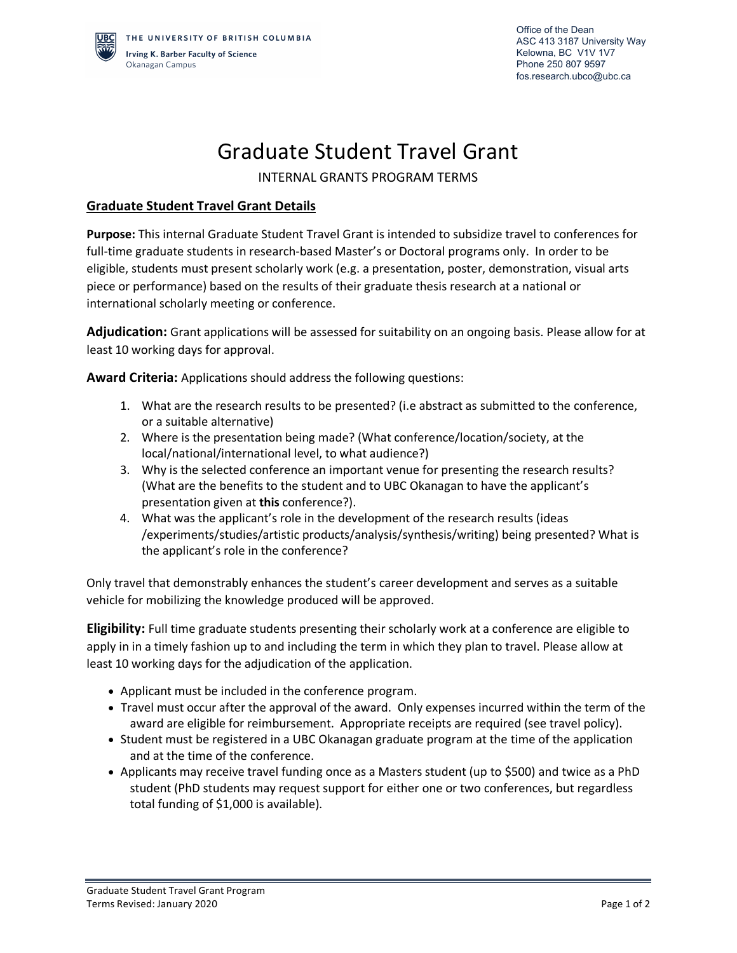## Graduate Student Travel Grant

INTERNAL GRANTS PROGRAM TERMS

## **Graduate Student Travel Grant Details**

**Purpose:** This internal Graduate Student Travel Grant is intended to subsidize travel to conferences for full-time graduate students in research-based Master's or Doctoral programs only. In order to be eligible, students must present scholarly work (e.g. a presentation, poster, demonstration, visual arts piece or performance) based on the results of their graduate thesis research at a national or international scholarly meeting or conference.

**Adjudication:** Grant applications will be assessed for suitability on an ongoing basis. Please allow for at least 10 working days for approval.

**Award Criteria:** Applications should address the following questions:

- 1. What are the research results to be presented? (i.e abstract as submitted to the conference, or a suitable alternative)
- 2. Where is the presentation being made? (What conference/location/society, at the local/national/international level, to what audience?)
- 3. Why is the selected conference an important venue for presenting the research results? (What are the benefits to the student and to UBC Okanagan to have the applicant's presentation given at **this** conference?).
- 4. What was the applicant's role in the development of the research results (ideas /experiments/studies/artistic products/analysis/synthesis/writing) being presented? What is the applicant's role in the conference?

Only travel that demonstrably enhances the student's career development and serves as a suitable vehicle for mobilizing the knowledge produced will be approved.

**Eligibility:** Full time graduate students presenting their scholarly work at a conference are eligible to apply in in a timely fashion up to and including the term in which they plan to travel. Please allow at least 10 working days for the adjudication of the application.

- Applicant must be included in the conference program.
- Travel must occur after the approval of the award. Only expenses incurred within the term of the award are eligible for reimbursement. Appropriate receipts are required (see travel policy).
- Student must be registered in a UBC Okanagan graduate program at the time of the application and at the time of the conference.
- Applicants may receive travel funding once as a Masters student (up to \$500) and twice as a PhD student (PhD students may request support for either one or two conferences, but regardless total funding of \$1,000 is available).